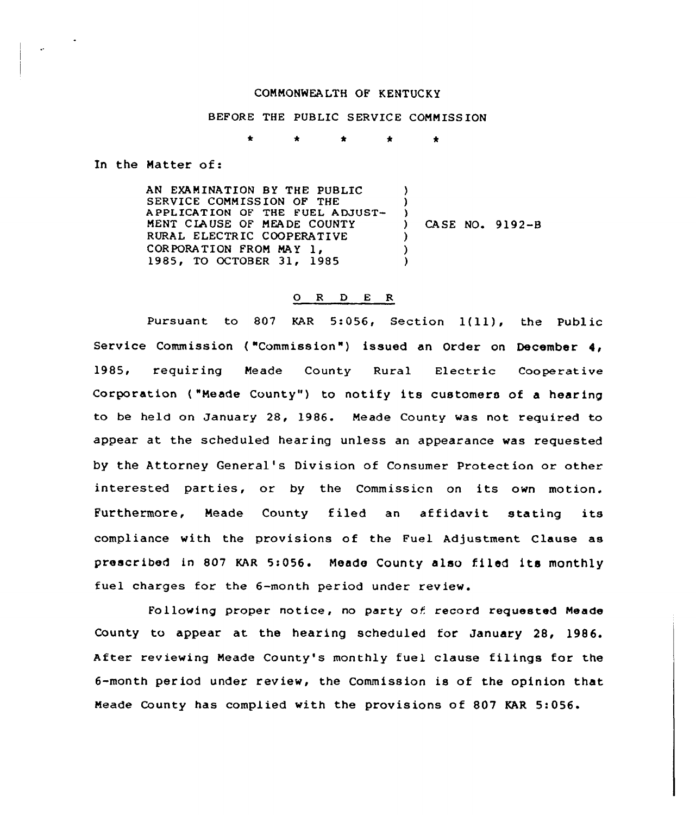## COMMONWEALTH OF KENTUCKY

## BEFORE THE PUBLIC SERVICE COMMISSION

 $\blacktriangle$  $\bullet$  $\bullet$ 

In the Matter of:

AN EXAMINATION BY THE PUBLIC SERVICE COMMISSION OF THE APPLICATION OF THE FUEL ADJUST-MENT CIAUSE OF MEADE COUNTY RURAL ELECTRIC COOPERATIVE CORPORATION FROM MAY 1. 1985, TO OCTOBER 31, 1985 ) )  $\left\{ \right\}$ ) CASE NO. 9192-B ) ) )

## 0 <sup>R</sup> <sup>D</sup> E <sup>R</sup>

Pursuant to 807 KAR 5:056, Section 1(11), the Public Service Commission ("Commission") issued an Order on December 4, 1985, requiring Meade County Rural Electric Cooperativ Corporation ("Meade County") to notify its customers of a hearing to be held on January 28, 1986. Meade County was not required to appear at the scheduled hearing unless an appearance was requested by the Attorney General's Division of Consumer Protection or other interested parties, or by the Commissicn on its own motion. Furthermore, Meade County filed an affidavit stating its compliance with the provisions of the Fuel Adjustment Clause as prescribed in 807 KAR 5:056. Meade County also filed its monthly fuel charges for the 6-month period under review.

Following proper notice, no party of record requested Meade County to appear at the hearing scheduled for January 28, 1986. After reviewing Meade County's monthly fuel clause filings for the 6-month period under review, the Commission is of the opinion that Meade County has complied with the provisions of 807 KAR 5:056'